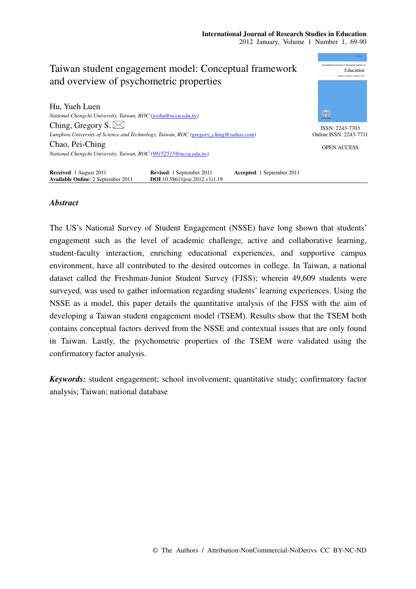

# *Abstract*

The US's National Survey of Student Engagement (NSSE) have long shown that students' engagement such as the level of academic challenge, active and collaborative learning, student-faculty interaction, enriching educational experiences, and supportive campus environment, have all contributed to the desired outcomes in college. In Taiwan, a national dataset called the Freshman-Junior Student Survey (FJSS); wherein 49,609 students were surveyed, was used to gather information regarding students' learning experiences. Using the NSSE as a model, this paper details the quantitative analysis of the FJSS with the aim of developing a Taiwan student engagement model (TSEM). Results show that the TSEM both contains conceptual factors derived from the NSSE and contextual issues that are only found in Taiwan. Lastly, the psychometric properties of the TSEM were validated using the confirmatory factor analysis.

*Keywords:* student engagement; school involvement; quantitative study; confirmatory factor analysis; Taiwan; national database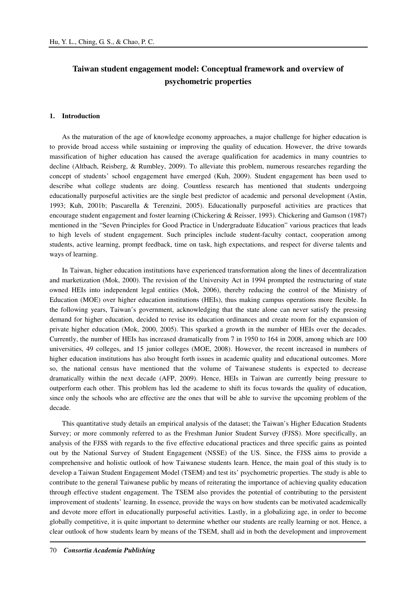# **Taiwan student engagement model: Conceptual framework and overview of psychometric properties**

# **1. Introduction**

As the maturation of the age of knowledge economy approaches, a major challenge for higher education is to provide broad access while sustaining or improving the quality of education. However, the drive towards massification of higher education has caused the average qualification for academics in many countries to decline (Altbach, Reisberg, & Rumbley, 2009). To alleviate this problem, numerous researches regarding the concept of students' school engagement have emerged (Kuh, 2009). Student engagement has been used to describe what college students are doing. Countless research has mentioned that students undergoing educationally purposeful activities are the single best predictor of academic and personal development (Astin, 1993; Kuh, 2001b; Pascarella & Terenzini, 2005). Educationally purposeful activities are practices that encourage student engagement and foster learning (Chickering & Reisser, 1993). Chickering and Gamson (1987) mentioned in the "Seven Principles for Good Practice in Undergraduate Education" various practices that leads to high levels of student engagement. Such principles include student-faculty contact, cooperation among students, active learning, prompt feedback, time on task, high expectations, and respect for diverse talents and ways of learning.

In Taiwan, higher education institutions have experienced transformation along the lines of decentralization and marketization (Mok, 2000). The revision of the University Act in 1994 prompted the restructuring of state owned HEIs into independent legal entities (Mok, 2006), thereby reducing the control of the Ministry of Education (MOE) over higher education institutions (HEIs), thus making campus operations more flexible. In the following years, Taiwan's government, acknowledging that the state alone can never satisfy the pressing demand for higher education, decided to revise its education ordinances and create room for the expansion of private higher education (Mok, 2000, 2005). This sparked a growth in the number of HEIs over the decades. Currently, the number of HEIs has increased dramatically from 7 in 1950 to 164 in 2008, among which are 100 universities, 49 colleges, and 15 junior colleges (MOE, 2008). However, the recent increased in numbers of higher education institutions has also brought forth issues in academic quality and educational outcomes. More so, the national census have mentioned that the volume of Taiwanese students is expected to decrease dramatically within the next decade (AFP, 2009). Hence, HEIs in Taiwan are currently being pressure to outperform each other. This problem has led the academe to shift its focus towards the quality of education, since only the schools who are effective are the ones that will be able to survive the upcoming problem of the decade.

This quantitative study details an empirical analysis of the dataset; the Taiwan's Higher Education Students Survey; or more commonly referred to as the Freshman Junior Student Survey (FJSS). More specifically, an analysis of the FJSS with regards to the five effective educational practices and three specific gains as pointed out by the National Survey of Student Engagement (NSSE) of the US. Since, the FJSS aims to provide a comprehensive and holistic outlook of how Taiwanese students learn. Hence, the main goal of this study is to develop a Taiwan Student Engagement Model (TSEM) and test its' psychometric properties. The study is able to contribute to the general Taiwanese public by means of reiterating the importance of achieving quality education through effective student engagement. The TSEM also provides the potential of contributing to the persistent improvement of students' learning. In essence, provide the ways on how students can be motivated academically and devote more effort in educationally purposeful activities. Lastly, in a globalizing age, in order to become globally competitive, it is quite important to determine whether our students are really learning or not. Hence, a clear outlook of how students learn by means of the TSEM, shall aid in both the development and improvement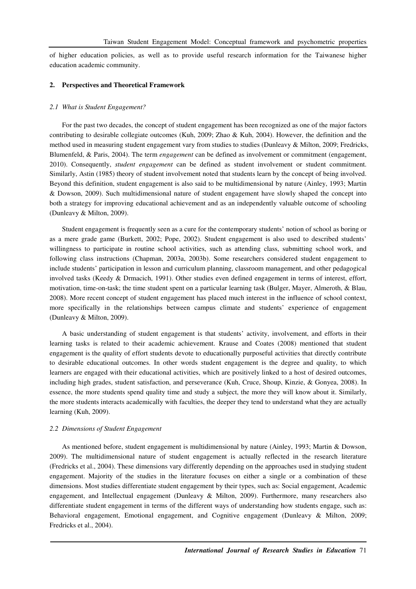of higher education policies, as well as to provide useful research information for the Taiwanese higher education academic community.

### **2. Perspectives and Theoretical Framework**

#### *2.1 What is Student Engagement?*

For the past two decades, the concept of student engagement has been recognized as one of the major factors contributing to desirable collegiate outcomes (Kuh, 2009; Zhao & Kuh, 2004). However, the definition and the method used in measuring student engagement vary from studies to studies (Dunleavy & Milton, 2009; Fredricks, Blumenfeld, & Paris, 2004). The term *engagement* can be defined as involvement or commitment (engagement, 2010). Consequently, *student engagement* can be defined as student involvement or student commitment. Similarly, Astin (1985) theory of student involvement noted that students learn by the concept of being involved. Beyond this definition, student engagement is also said to be multidimensional by nature (Ainley, 1993; Martin & Dowson, 2009). Such multidimensional nature of student engagement have slowly shaped the concept into both a strategy for improving educational achievement and as an independently valuable outcome of schooling (Dunleavy & Milton, 2009).

Student engagement is frequently seen as a cure for the contemporary students' notion of school as boring or as a mere grade game (Burkett, 2002; Pope, 2002). Student engagement is also used to described students' willingness to participate in routine school activities, such as attending class, submitting school work, and following class instructions (Chapman, 2003a, 2003b). Some researchers considered student engagement to include students' participation in lesson and curriculum planning, classroom management, and other pedagogical involved tasks (Keedy & Drmacich, 1991). Other studies even defined engagement in terms of interest, effort, motivation, time-on-task; the time student spent on a particular learning task (Bulger, Mayer, Almeroth, & Blau, 2008). More recent concept of student engagement has placed much interest in the influence of school context, more specifically in the relationships between campus climate and students' experience of engagement (Dunleavy & Milton, 2009).

A basic understanding of student engagement is that students' activity, involvement, and efforts in their learning tasks is related to their academic achievement. Krause and Coates (2008) mentioned that student engagement is the quality of effort students devote to educationally purposeful activities that directly contribute to desirable educational outcomes. In other words student engagement is the degree and quality, to which learners are engaged with their educational activities, which are positively linked to a host of desired outcomes, including high grades, student satisfaction, and perseverance (Kuh, Cruce, Shoup, Kinzie, & Gonyea, 2008). In essence, the more students spend quality time and study a subject, the more they will know about it. Similarly, the more students interacts academically with faculties, the deeper they tend to understand what they are actually learning (Kuh, 2009).

### *2.2 Dimensions of Student Engagement*

As mentioned before, student engagement is multidimensional by nature (Ainley, 1993; Martin & Dowson, 2009). The multidimensional nature of student engagement is actually reflected in the research literature (Fredricks et al., 2004). These dimensions vary differently depending on the approaches used in studying student engagement. Majority of the studies in the literature focuses on either a single or a combination of these dimensions. Most studies differentiate student engagement by their types, such as: Social engagement, Academic engagement, and Intellectual engagement (Dunleavy & Milton, 2009). Furthermore, many researchers also differentiate student engagement in terms of the different ways of understanding how students engage, such as: Behavioral engagement, Emotional engagement, and Cognitive engagement (Dunleavy & Milton, 2009; Fredricks et al., 2004).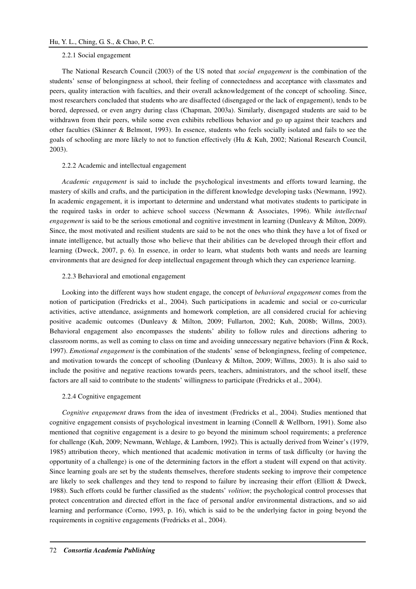# 2.2.1 Social engagement

The National Research Council (2003) of the US noted that *social engagement* is the combination of the students' sense of belongingness at school, their feeling of connectedness and acceptance with classmates and peers, quality interaction with faculties, and their overall acknowledgement of the concept of schooling. Since, most researchers concluded that students who are disaffected (disengaged or the lack of engagement), tends to be bored, depressed, or even angry during class (Chapman, 2003a). Similarly, disengaged students are said to be withdrawn from their peers, while some even exhibits rebellious behavior and go up against their teachers and other faculties (Skinner & Belmont, 1993). In essence, students who feels socially isolated and fails to see the goals of schooling are more likely to not to function effectively (Hu & Kuh, 2002; National Research Council, 2003).

# 2.2.2 Academic and intellectual engagement

*Academic engagement* is said to include the psychological investments and efforts toward learning, the mastery of skills and crafts, and the participation in the different knowledge developing tasks (Newmann, 1992). In academic engagement, it is important to determine and understand what motivates students to participate in the required tasks in order to achieve school success (Newmann & Associates, 1996). While *intellectual engagement* is said to be the serious emotional and cognitive investment in learning (Dunleavy & Milton, 2009). Since, the most motivated and resilient students are said to be not the ones who think they have a lot of fixed or innate intelligence, but actually those who believe that their abilities can be developed through their effort and learning (Dweck, 2007, p. 6). In essence, in order to learn, what students both wants and needs are learning environments that are designed for deep intellectual engagement through which they can experience learning.

#### 2.2.3 Behavioral and emotional engagement

Looking into the different ways how student engage, the concept of *behavioral engagement* comes from the notion of participation (Fredricks et al., 2004). Such participations in academic and social or co-curricular activities, active attendance, assignments and homework completion, are all considered crucial for achieving positive academic outcomes (Dunleavy & Milton, 2009; Fullarton, 2002; Kuh, 2008b; Willms, 2003). Behavioral engagement also encompasses the students' ability to follow rules and directions adhering to classroom norms, as well as coming to class on time and avoiding unnecessary negative behaviors (Finn & Rock, 1997). *Emotional engagement* is the combination of the students' sense of belongingness, feeling of competence, and motivation towards the concept of schooling (Dunleavy & Milton, 2009; Willms, 2003). It is also said to include the positive and negative reactions towards peers, teachers, administrators, and the school itself, these factors are all said to contribute to the students' willingness to participate (Fredricks et al., 2004).

### 2.2.4 Cognitive engagement

*Cognitive engagement* draws from the idea of investment (Fredricks et al., 2004). Studies mentioned that cognitive engagement consists of psychological investment in learning (Connell & Wellborn, 1991). Some also mentioned that cognitive engagement is a desire to go beyond the minimum school requirements; a preference for challenge (Kuh, 2009; Newmann, Wehlage, & Lamborn, 1992). This is actually derived from Weiner's (1979, 1985) attribution theory, which mentioned that academic motivation in terms of task difficulty (or having the opportunity of a challenge) is one of the determining factors in the effort a student will expend on that activity. Since learning goals are set by the students themselves, therefore students seeking to improve their competence are likely to seek challenges and they tend to respond to failure by increasing their effort (Elliott & Dweck, 1988). Such efforts could be further classified as the students' *volition*; the psychological control processes that protect concentration and directed effort in the face of personal and/or environmental distractions, and so aid learning and performance (Corno, 1993, p. 16), which is said to be the underlying factor in going beyond the requirements in cognitive engagements (Fredricks et al., 2004).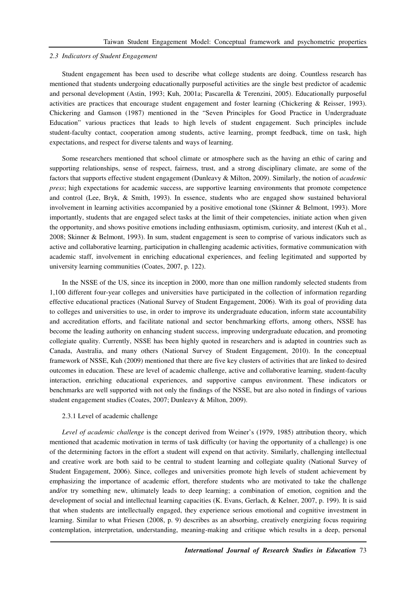#### *2.3 Indicators of Student Engagement*

Student engagement has been used to describe what college students are doing. Countless research has mentioned that students undergoing educationally purposeful activities are the single best predictor of academic and personal development (Astin, 1993; Kuh, 2001a; Pascarella & Terenzini, 2005). Educationally purposeful activities are practices that encourage student engagement and foster learning (Chickering & Reisser, 1993). Chickering and Gamson (1987) mentioned in the "Seven Principles for Good Practice in Undergraduate Education" various practices that leads to high levels of student engagement. Such principles include student-faculty contact, cooperation among students, active learning, prompt feedback, time on task, high expectations, and respect for diverse talents and ways of learning.

Some researchers mentioned that school climate or atmosphere such as the having an ethic of caring and supporting relationships, sense of respect, fairness, trust, and a strong disciplinary climate, are some of the factors that supports effective student engagement (Dunleavy & Milton, 2009). Similarly, the notion of *academic press*; high expectations for academic success, are supportive learning environments that promote competence and control (Lee, Bryk, & Smith, 1993). In essence, students who are engaged show sustained behavioral involvement in learning activities accompanied by a positive emotional tone (Skinner & Belmont, 1993). More importantly, students that are engaged select tasks at the limit of their competencies, initiate action when given the opportunity, and shows positive emotions including enthusiasm, optimism, curiosity, and interest (Kuh et al., 2008; Skinner & Belmont, 1993). In sum, student engagement is seen to comprise of various indicators such as active and collaborative learning, participation in challenging academic activities, formative communication with academic staff, involvement in enriching educational experiences, and feeling legitimated and supported by university learning communities (Coates, 2007, p. 122).

In the NSSE of the US, since its inception in 2000, more than one million randomly selected students from 1,100 different four-year colleges and universities have participated in the collection of information regarding effective educational practices (National Survey of Student Engagement, 2006). With its goal of providing data to colleges and universities to use, in order to improve its undergraduate education, inform state accountability and accreditation efforts, and facilitate national and sector benchmarking efforts, among others, NSSE has become the leading authority on enhancing student success, improving undergraduate education, and promoting collegiate quality. Currently, NSSE has been highly quoted in researchers and is adapted in countries such as Canada, Australia, and many others (National Survey of Student Engagement, 2010). In the conceptual framework of NSSE, Kuh (2009) mentioned that there are five key clusters of activities that are linked to desired outcomes in education. These are level of academic challenge, active and collaborative learning, student-faculty interaction, enriching educational experiences, and supportive campus environment. These indicators or benchmarks are well supported with not only the findings of the NSSE, but are also noted in findings of various student engagement studies (Coates, 2007; Dunleavy & Milton, 2009).

# 2.3.1 Level of academic challenge

*Level of academic challenge* is the concept derived from Weiner's (1979, 1985) attribution theory, which mentioned that academic motivation in terms of task difficulty (or having the opportunity of a challenge) is one of the determining factors in the effort a student will expend on that activity. Similarly, challenging intellectual and creative work are both said to be central to student learning and collegiate quality (National Survey of Student Engagement, 2006). Since, colleges and universities promote high levels of student achievement by emphasizing the importance of academic effort, therefore students who are motivated to take the challenge and/or try something new, ultimately leads to deep learning; a combination of emotion, cognition and the development of social and intellectual learning capacities (K. Evans, Gerlach, & Kelner, 2007, p. 199). It is said that when students are intellectually engaged, they experience serious emotional and cognitive investment in learning. Similar to what Friesen (2008, p. 9) describes as an absorbing, creatively energizing focus requiring contemplation, interpretation, understanding, meaning-making and critique which results in a deep, personal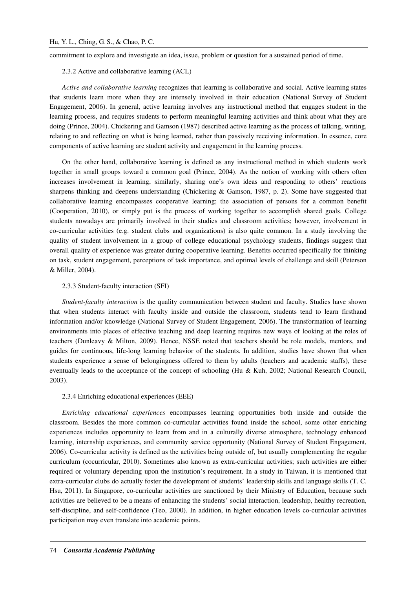commitment to explore and investigate an idea, issue, problem or question for a sustained period of time.

2.3.2 Active and collaborative learning (ACL)

*Active and collaborative learning* recognizes that learning is collaborative and social. Active learning states that students learn more when they are intensely involved in their education (National Survey of Student Engagement, 2006). In general, active learning involves any instructional method that engages student in the learning process, and requires students to perform meaningful learning activities and think about what they are doing (Prince, 2004). Chickering and Gamson (1987) described active learning as the process of talking, writing, relating to and reflecting on what is being learned, rather than passively receiving information. In essence, core components of active learning are student activity and engagement in the learning process.

On the other hand, collaborative learning is defined as any instructional method in which students work together in small groups toward a common goal (Prince, 2004). As the notion of working with others often increases involvement in learning, similarly, sharing one's own ideas and responding to others' reactions sharpens thinking and deepens understanding (Chickering & Gamson, 1987, p. 2). Some have suggested that collaborative learning encompasses cooperative learning; the association of persons for a common benefit (Cooperation, 2010), or simply put is the process of working together to accomplish shared goals. College students nowadays are primarily involved in their studies and classroom activities; however, involvement in co-curricular activities (e.g. student clubs and organizations) is also quite common. In a study involving the quality of student involvement in a group of college educational psychology students, findings suggest that overall quality of experience was greater during cooperative learning. Benefits occurred specifically for thinking on task, student engagement, perceptions of task importance, and optimal levels of challenge and skill (Peterson & Miller, 2004).

### 2.3.3 Student-faculty interaction (SFI)

*Student-faculty interaction* is the quality communication between student and faculty. Studies have shown that when students interact with faculty inside and outside the classroom, students tend to learn firsthand information and/or knowledge (National Survey of Student Engagement, 2006). The transformation of learning environments into places of effective teaching and deep learning requires new ways of looking at the roles of teachers (Dunleavy & Milton, 2009). Hence, NSSE noted that teachers should be role models, mentors, and guides for continuous, life-long learning behavior of the students. In addition, studies have shown that when students experience a sense of belongingness offered to them by adults (teachers and academic staffs), these eventually leads to the acceptance of the concept of schooling (Hu & Kuh, 2002; National Research Council, 2003).

### 2.3.4 Enriching educational experiences (EEE)

*Enriching educational experiences* encompasses learning opportunities both inside and outside the classroom. Besides the more common co-curricular activities found inside the school, some other enriching experiences includes opportunity to learn from and in a culturally diverse atmosphere, technology enhanced learning, internship experiences, and community service opportunity (National Survey of Student Engagement, 2006). Co-curricular activity is defined as the activities being outside of, but usually complementing the regular curriculum (cocurricular, 2010). Sometimes also known as extra-curricular activities; such activities are either required or voluntary depending upon the institution's requirement. In a study in Taiwan, it is mentioned that extra-curricular clubs do actually foster the development of students' leadership skills and language skills (T. C. Hsu, 2011). In Singapore, co-curricular activities are sanctioned by their Ministry of Education, because such activities are believed to be a means of enhancing the students' social interaction, leadership, healthy recreation, self-discipline, and self-confidence (Teo, 2000). In addition, in higher education levels co-curricular activities participation may even translate into academic points.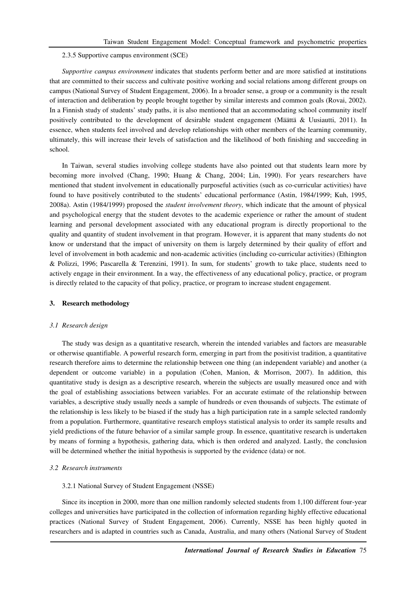### 2.3.5 Supportive campus environment (SCE)

*Supportive campus environment* indicates that students perform better and are more satisfied at institutions that are committed to their success and cultivate positive working and social relations among different groups on campus (National Survey of Student Engagement, 2006). In a broader sense, a group or a community is the result of interaction and deliberation by people brought together by similar interests and common goals (Rovai, 2002). In a Finnish study of students' study paths, it is also mentioned that an accommodating school community itself positively contributed to the development of desirable student engagement (Määttä & Uusiautti, 2011). In essence, when students feel involved and develop relationships with other members of the learning community, ultimately, this will increase their levels of satisfaction and the likelihood of both finishing and succeeding in school.

In Taiwan, several studies involving college students have also pointed out that students learn more by becoming more involved (Chang, 1990; Huang & Chang, 2004; Lin, 1990). For years researchers have mentioned that student involvement in educationally purposeful activities (such as co-curricular activities) have found to have positively contributed to the students' educational performance (Astin, 1984/1999; Kuh, 1995, 2008a). Astin (1984/1999) proposed the *student involvement theory*, which indicate that the amount of physical and psychological energy that the student devotes to the academic experience or rather the amount of student learning and personal development associated with any educational program is directly proportional to the quality and quantity of student involvement in that program. However, it is apparent that many students do not know or understand that the impact of university on them is largely determined by their quality of effort and level of involvement in both academic and non-academic activities (including co-curricular activities) (Ethington & Polizzi, 1996; Pascarella & Terenzini, 1991). In sum, for students' growth to take place, students need to actively engage in their environment. In a way, the effectiveness of any educational policy, practice, or program is directly related to the capacity of that policy, practice, or program to increase student engagement.

# **3. Research methodology**

#### *3.1 Research design*

The study was design as a quantitative research, wherein the intended variables and factors are measurable or otherwise quantifiable. A powerful research form, emerging in part from the positivist tradition, a quantitative research therefore aims to determine the relationship between one thing (an independent variable) and another (a dependent or outcome variable) in a population (Cohen, Manion, & Morrison, 2007). In addition, this quantitative study is design as a descriptive research, wherein the subjects are usually measured once and with the goal of establishing associations between variables. For an accurate estimate of the relationship between variables, a descriptive study usually needs a sample of hundreds or even thousands of subjects. The estimate of the relationship is less likely to be biased if the study has a high participation rate in a sample selected randomly from a population. Furthermore, quantitative research employs statistical analysis to order its sample results and yield predictions of the future behavior of a similar sample group. In essence, quantitative research is undertaken by means of forming a hypothesis, gathering data, which is then ordered and analyzed. Lastly, the conclusion will be determined whether the initial hypothesis is supported by the evidence (data) or not.

#### *3.2 Research instruments*

### 3.2.1 National Survey of Student Engagement (NSSE)

Since its inception in 2000, more than one million randomly selected students from 1,100 different four-year colleges and universities have participated in the collection of information regarding highly effective educational practices (National Survey of Student Engagement, 2006). Currently, NSSE has been highly quoted in researchers and is adapted in countries such as Canada, Australia, and many others (National Survey of Student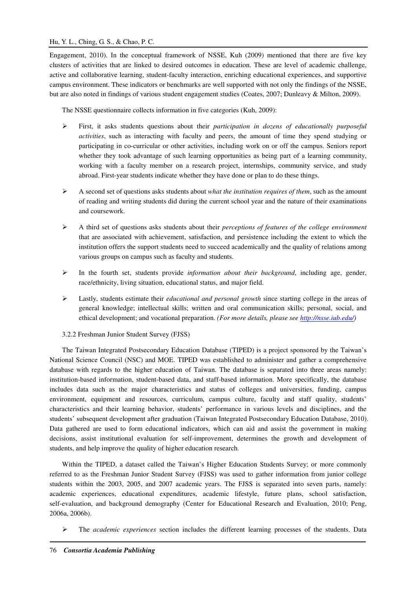# Hu, Y. L., Ching, G. S., & Chao, P. C.

Engagement, 2010). In the conceptual framework of NSSE, Kuh (2009) mentioned that there are five key clusters of activities that are linked to desired outcomes in education. These are level of academic challenge, active and collaborative learning, student-faculty interaction, enriching educational experiences, and supportive campus environment. These indicators or benchmarks are well supported with not only the findings of the NSSE, but are also noted in findings of various student engagement studies (Coates, 2007; Dunleavy & Milton, 2009).

The NSSE questionnaire collects information in five categories (Kuh, 2009):

- First, it asks students questions about their *participation in dozens of educationally purposeful activities*, such as interacting with faculty and peers, the amount of time they spend studying or participating in co-curricular or other activities, including work on or off the campus. Seniors report whether they took advantage of such learning opportunities as being part of a learning community, working with a faculty member on a research project, internships, community service, and study abroad. First-year students indicate whether they have done or plan to do these things.
- A second set of questions asks students about *what the institution requires of them*, such as the amount of reading and writing students did during the current school year and the nature of their examinations and coursework.
- A third set of questions asks students about their *perceptions of features of the college environment* that are associated with achievement, satisfaction, and persistence including the extent to which the institution offers the support students need to succeed academically and the quality of relations among various groups on campus such as faculty and students.
- $\triangleright$  In the fourth set, students provide *information about their background*, including age, gender, race/ethnicity, living situation, educational status, and major field.
- Lastly, students estimate their *educational and personal growth* since starting college in the areas of general knowledge; intellectual skills; written and oral communication skills; personal, social, and ethical development; and vocational preparation. *(For more details, please see http://nsse.iub.edu/)*
- 3.2.2 Freshman Junior Student Survey (FJSS)

The Taiwan Integrated Postsecondary Education Database (TIPED) is a project sponsored by the Taiwan's National Science Council (NSC) and MOE. TIPED was established to administer and gather a comprehensive database with regards to the higher education of Taiwan. The database is separated into three areas namely: institution-based information, student-based data, and staff-based information. More specifically, the database includes data such as the major characteristics and status of colleges and universities, funding, campus environment, equipment and resources, curriculum, campus culture, faculty and staff quality, students' characteristics and their learning behavior, students' performance in various levels and disciplines, and the students' subsequent development after graduation (Taiwan Integrated Postsecondary Education Database, 2010). Data gathered are used to form educational indicators, which can aid and assist the government in making decisions, assist institutional evaluation for self-improvement, determines the growth and development of students, and help improve the quality of higher education research.

Within the TIPED, a dataset called the Taiwan's Higher Education Students Survey; or more commonly referred to as the Freshman Junior Student Survey (FJSS) was used to gather information from junior college students within the 2003, 2005, and 2007 academic years. The FJSS is separated into seven parts, namely: academic experiences, educational expenditures, academic lifestyle, future plans, school satisfaction, self-evaluation, and background demography (Center for Educational Research and Evaluation, 2010; Peng, 2006a, 2006b).

The *academic experiences* section includes the different learning processes of the students. Data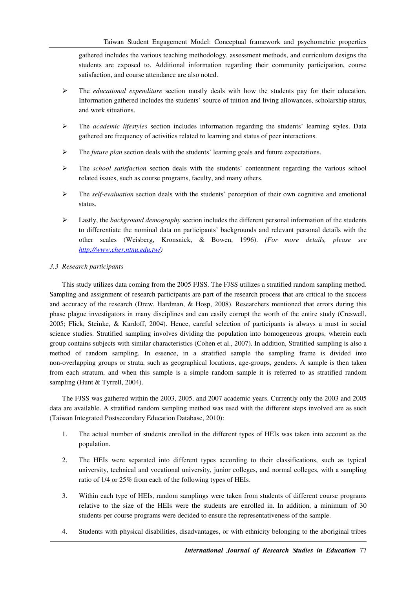gathered includes the various teaching methodology, assessment methods, and curriculum designs the students are exposed to. Additional information regarding their community participation, course satisfaction, and course attendance are also noted.

- The *educational expenditure* section mostly deals with how the students pay for their education. Information gathered includes the students' source of tuition and living allowances, scholarship status, and work situations.
- The *academic lifestyles* section includes information regarding the students' learning styles. Data gathered are frequency of activities related to learning and status of peer interactions.
- The *future plan* section deals with the students' learning goals and future expectations.
- The *school satisfaction* section deals with the students' contentment regarding the various school related issues, such as course programs, faculty, and many others.
- The *self-evaluation* section deals with the students' perception of their own cognitive and emotional status.
- Lastly, the *background demography* section includes the different personal information of the students to differentiate the nominal data on participants' backgrounds and relevant personal details with the other scales (Weisberg, Kronsnick, & Bowen, 1996). *(For more details, please see http://www.cher.ntnu.edu.tw/)*

# *3.3 Research participants*

This study utilizes data coming from the 2005 FJSS. The FJSS utilizes a stratified random sampling method. Sampling and assignment of research participants are part of the research process that are critical to the success and accuracy of the research (Drew, Hardman, & Hosp, 2008). Researchers mentioned that errors during this phase plague investigators in many disciplines and can easily corrupt the worth of the entire study (Creswell, 2005; Flick, Steinke, & Kardoff, 2004). Hence, careful selection of participants is always a must in social science studies. Stratified sampling involves dividing the population into homogeneous groups, wherein each group contains subjects with similar characteristics (Cohen et al., 2007). In addition, Stratified sampling is also a method of random sampling. In essence, in a stratified sample the sampling frame is divided into non-overlapping groups or strata, such as geographical locations, age-groups, genders. A sample is then taken from each stratum, and when this sample is a simple random sample it is referred to as stratified random sampling (Hunt & Tyrrell, 2004).

The FJSS was gathered within the 2003, 2005, and 2007 academic years. Currently only the 2003 and 2005 data are available. A stratified random sampling method was used with the different steps involved are as such (Taiwan Integrated Postsecondary Education Database, 2010):

- 1. The actual number of students enrolled in the different types of HEIs was taken into account as the population.
- 2. The HEIs were separated into different types according to their classifications, such as typical university, technical and vocational university, junior colleges, and normal colleges, with a sampling ratio of 1/4 or 25% from each of the following types of HEIs.
- 3. Within each type of HEIs, random samplings were taken from students of different course programs relative to the size of the HEIs were the students are enrolled in. In addition, a minimum of 30 students per course programs were decided to ensure the representativeness of the sample.
- 4. Students with physical disabilities, disadvantages, or with ethnicity belonging to the aboriginal tribes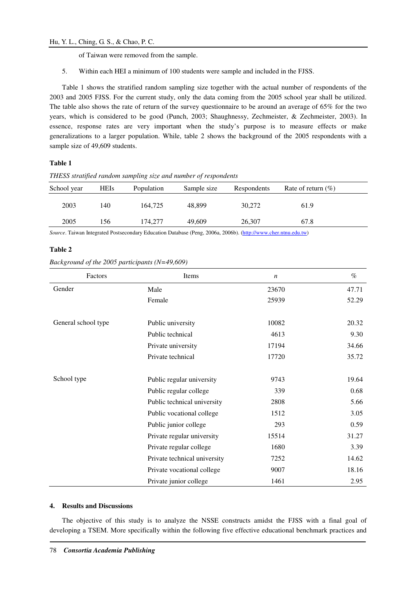of Taiwan were removed from the sample.

5. Within each HEI a minimum of 100 students were sample and included in the FJSS.

Table 1 shows the stratified random sampling size together with the actual number of respondents of the 2003 and 2005 FJSS. For the current study, only the data coming from the 2005 school year shall be utilized. The table also shows the rate of return of the survey questionnaire to be around an average of 65% for the two years, which is considered to be good (Punch, 2003; Shaughnessy, Zechmeister, & Zechmeister, 2003). In essence, response rates are very important when the study's purpose is to measure effects or make generalizations to a larger population. While, table 2 shows the background of the 2005 respondents with a sample size of 49,609 students.

# **Table 1**

| THESS stratified random sampling size and number of respondents |  |  |  |
|-----------------------------------------------------------------|--|--|--|
|                                                                 |  |  |  |

| School year | <b>HEIs</b> | Population | Sample size | Respondents | Rate of return $(\% )$ |  |
|-------------|-------------|------------|-------------|-------------|------------------------|--|
| 2003        | 140         | 164,725    | 48.899      | 30,272      | 61.9                   |  |
| 2005        | 156         | 174,277    | 49,609      | 26,307      | 67.8                   |  |

*Source*. Taiwan Integrated Postsecondary Education Database (Peng, 2006a, 2006b). (http://www.cher.ntnu.edu.tw)

# **Table 2**

# *Background of the 2005 participants (N=49,609)*

| Factors             | Items                        | $\boldsymbol{n}$ | $\%$  |
|---------------------|------------------------------|------------------|-------|
| Gender              | Male                         | 23670            | 47.71 |
|                     | Female                       | 25939            | 52.29 |
|                     |                              |                  |       |
| General school type | Public university            | 10082            | 20.32 |
|                     | Public technical             | 4613             | 9.30  |
|                     | Private university           | 17194            | 34.66 |
|                     | Private technical            | 17720            | 35.72 |
|                     |                              |                  |       |
| School type         | Public regular university    | 9743             | 19.64 |
|                     | Public regular college       | 339              | 0.68  |
|                     | Public technical university  | 2808             | 5.66  |
|                     | Public vocational college    | 1512             | 3.05  |
|                     | Public junior college        | 293              | 0.59  |
|                     | Private regular university   | 15514            | 31.27 |
|                     | Private regular college      | 1680             | 3.39  |
|                     | Private technical university | 7252             | 14.62 |
|                     | Private vocational college   | 9007             | 18.16 |
|                     | Private junior college       | 1461             | 2.95  |

### **4. Results and Discussions**

The objective of this study is to analyze the NSSE constructs amidst the FJSS with a final goal of developing a TSEM. More specifically within the following five effective educational benchmark practices and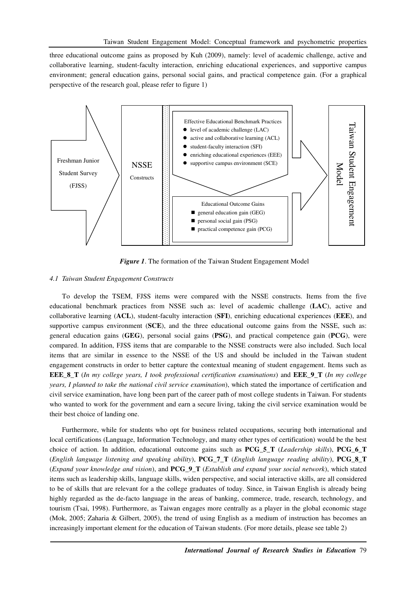three educational outcome gains as proposed by Kuh (2009), namely: level of academic challenge, active and collaborative learning, student-faculty interaction, enriching educational experiences, and supportive campus environment; general education gains, personal social gains, and practical competence gain. (For a graphical perspective of the research goal, please refer to figure 1)



*Figure 1*. The formation of the Taiwan Student Engagement Model

# *4.1 Taiwan Student Engagement Constructs*

To develop the TSEM, FJSS items were compared with the NSSE constructs. Items from the five educational benchmark practices from NSSE such as: level of academic challenge (**LAC**), active and collaborative learning (**ACL**), student-faculty interaction (**SFI**), enriching educational experiences (**EEE**), and supportive campus environment (**SCE**), and the three educational outcome gains from the NSSE, such as: general education gains (**GEG**), personal social gains (**PSG**), and practical competence gain (**PCG**), were compared. In addition, FJSS items that are comparable to the NSSE constructs were also included. Such local items that are similar in essence to the NSSE of the US and should be included in the Taiwan student engagement constructs in order to better capture the contextual meaning of student engagement. Items such as **EEE\_8\_T** (*In my college years, I took professional certification examinations*) and **EEE\_9\_T** (*In my college years, I planned to take the national civil service examination*), which stated the importance of certification and civil service examination, have long been part of the career path of most college students in Taiwan. For students who wanted to work for the government and earn a secure living, taking the civil service examination would be their best choice of landing one.

Furthermore, while for students who opt for business related occupations, securing both international and local certifications (Language, Information Technology, and many other types of certification) would be the best choice of action. In addition, educational outcome gains such as **PCG\_5\_T** (*Leadership skills*), **PCG\_6\_T** (*English language listening and speaking ability*), **PCG\_7\_T** (*English language reading ability*), **PCG\_8\_T**  (*Expand your knowledge and vision*), and **PCG\_9\_T** (*Establish and expand your social network*), which stated items such as leadership skills, language skills, widen perspective, and social interactive skills, are all considered to be of skills that are relevant for a the college graduates of today. Since, in Taiwan English is already being highly regarded as the de-facto language in the areas of banking, commerce, trade, research, technology, and tourism (Tsai, 1998). Furthermore, as Taiwan engages more centrally as a player in the global economic stage (Mok, 2005; Zaharia & Gilbert, 2005), the trend of using English as a medium of instruction has becomes an increasingly important element for the education of Taiwan students. (For more details, please see table 2)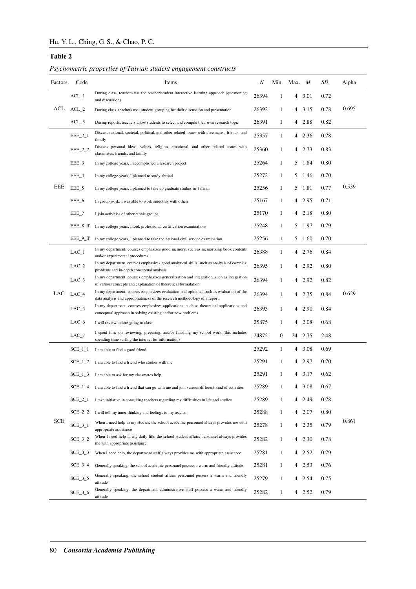# **Table 2**

| Psychometric properties of Taiwan student engagement constructs |  |  |  |  |  |
|-----------------------------------------------------------------|--|--|--|--|--|
|-----------------------------------------------------------------|--|--|--|--|--|

| Factors    | Code           | Items                                                                                                                                                                                                                                  | N     |              | Min. Max. $M$ |               | SD   | Alpha |
|------------|----------------|----------------------------------------------------------------------------------------------------------------------------------------------------------------------------------------------------------------------------------------|-------|--------------|---------------|---------------|------|-------|
|            | $ACL_1$        | During class, teachers use the teacher/student interactive learning approach (questioning<br>and discussion)                                                                                                                           | 26394 | 1            |               | 4 3.01        | 0.72 |       |
| ACL        | $ACL_2$        | During class, teachers uses student grouping for their discussion and presentation                                                                                                                                                     | 26392 | 1            | 4             | 3.15          | 0.78 | 0.695 |
|            | ACL 3          | During reports, teachers allow students to select and compile their own research topic                                                                                                                                                 | 26391 | 1            |               | 4 2.88        | 0.82 |       |
|            | $EEE_2_1$      | Discuss national, societal, political, and other related issues with classmates, friends, and<br>family                                                                                                                                | 25357 | 1            | 4             | 2.36          | 0.78 |       |
|            | EEE_2_2        | Discuss personal ideas, values, religion, emotional, and other related issues with<br>classmates, friends, and family                                                                                                                  | 25360 | 1            | 4             | 2.73          | 0.83 |       |
|            | EEE_3          | In my college years, I accomplished a research project                                                                                                                                                                                 | 25264 | 1            | 5             | 1.84          | 0.80 |       |
|            | EEE_4          | In my college years, I planned to study abroad                                                                                                                                                                                         | 25272 | 1            | 5             | 1.46          | 0.70 |       |
| EEE        | EEE_5          | In my college years, I planned to take up graduate studies in Taiwan                                                                                                                                                                   | 25256 | 1            | 5             | 1.81          | 0.77 | 0.539 |
|            | EEE_6          | In group work, I was able to work smoothly with others                                                                                                                                                                                 | 25167 | 1            | 4             | 2.95          | 0.71 |       |
|            | EEE_7          | I join activities of other ethnic groups                                                                                                                                                                                               | 25170 | 1            |               | $4\quad 2.18$ | 0.80 |       |
|            | EEE 8 T        | In my college years, I took professional certification examinations                                                                                                                                                                    | 25248 | 1            | 5             | 1.97          | 0.79 |       |
|            | EEE_9_T        | In my college years, I planned to take the national civil service examination                                                                                                                                                          | 25256 | 1            |               | 5 1.60        | 0.70 |       |
|            | $LAC_1$        | In my department, courses emphasizes good memory, such as memorizing book contents<br>and/or experimental procedures                                                                                                                   | 26388 | 1            |               | 4 2.76        | 0.84 |       |
|            | $LAC_2$        | In my department, courses emphasizes good analytical skills, such as analysis of complex                                                                                                                                               | 26395 | 1            | 4             | 2.92          | 0.80 |       |
|            | $LAC_3$        | problems and in-depth conceptual analysis<br>In my department, courses emphasizes generalization and integration, such as integration                                                                                                  | 26394 | 1            | 4             | 2.92          | 0.82 |       |
| LAC        | $LAC_4$        | of various concepts and explanation of theoretical formulation<br>In my department, courses emphasizes evaluation and opinions, such as evaluation of the<br>data analysis and appropriateness of the research methodology of a report | 26394 | 1            | 4             | 2.75          | 0.84 | 0.629 |
|            | $LAC_5$        | In my department, courses emphasizes applications, such as theoretical applications and<br>conceptual approach in solving existing and/or new problems                                                                                 | 26393 | 1            | 4             | 2.90          | 0.84 |       |
|            | $LAC_6$        | I will review before going to class                                                                                                                                                                                                    | 25875 | 1            | 4             | 2.08          | 0.68 |       |
|            | $LAC_7$        | I spent time on reviewing, preparing, and/or finishing my school work (this includes<br>spending time surfing the internet for information)                                                                                            | 24872 | $\mathbf 0$  | 24            | 2.75          | 2.48 |       |
|            | $SCE_1_1$      | I am able to find a good friend                                                                                                                                                                                                        | 25292 | 1            |               | 4 3.08        | 0.69 |       |
|            | $SCE_1_2$      | I am able to find a friend who studies with me                                                                                                                                                                                         | 25291 | 1            |               | 4 2.97        | 0.70 |       |
|            | $SCE_1_3$      | I am able to ask for my classmates help                                                                                                                                                                                                | 25291 | 1            |               | 4 3.17        | 0.62 |       |
|            |                | SCE_1_4 I am able to find a friend that can go with me and join various different kind of activities                                                                                                                                   | 25289 |              | 4             | 3.08          | 0.67 |       |
|            | $SCE_2_1$      | I take initiative in consulting teachers regarding my difficulties in life and studies                                                                                                                                                 | 25289 | 1            |               | 4 2.49        | 0.78 |       |
|            | $SCE_2_2$      | I will tell my inner thinking and feelings to my teacher                                                                                                                                                                               | 25288 | 1            |               | 4 2.07        | 0.80 |       |
| <b>SCE</b> | $SCE_3_1$      | When I need help in my studies, the school academic personnel always provides me with<br>appropriate assistance                                                                                                                        | 25278 | $\mathbf{1}$ | 4             | 2.35          | 0.79 | 0.861 |
|            | $SCE_3_2$      | When I need help in my daily life, the school student affairs personnel always provides<br>me with appropriate assistance                                                                                                              | 25282 | 1            |               | 4 2.30        | 0.78 |       |
|            | $SCE_3_3$      | When I need help, the department staff always provides me with appropriate assistance                                                                                                                                                  | 25281 | 1            |               | 4 2.52        | 0.79 |       |
|            | $SCE_3_4$      | Generally speaking, the school academic personnel possess a warm and friendly attitude                                                                                                                                                 | 25281 | 1            |               | 4 2.53        | 0.76 |       |
|            | <b>SCE 3 5</b> | Generally speaking, the school student affairs personnel possess a warm and friendly<br>attitude                                                                                                                                       | 25279 | $\mathbf{1}$ |               | 4 2.54        | 0.75 |       |
|            | $SCE_3_6$      | Generally speaking, the department administrative staff possess a warm and friendly<br>attitude                                                                                                                                        | 25282 | 1            | 4             | 2.52          | 0.79 |       |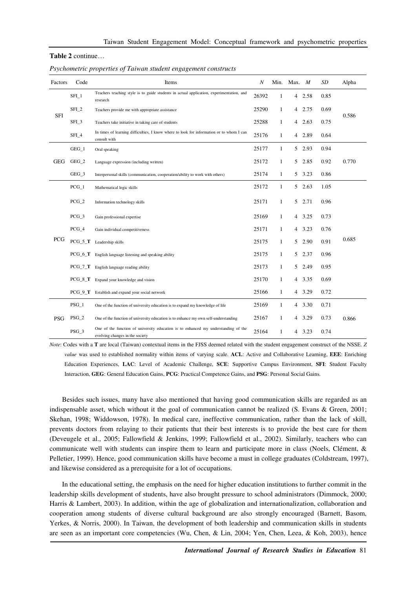#### **Table 2** continue…

| Factors    | Code             | Items                                                                                                                 | N     | Min.         | Max. $M$ |        | SD   | Alpha |
|------------|------------------|-----------------------------------------------------------------------------------------------------------------------|-------|--------------|----------|--------|------|-------|
|            | SFL1             | Teachers teaching style is to guide students in actual application, experimentation, and<br>research                  | 26392 | 1            |          | 4 2.58 | 0.85 |       |
| <b>SFI</b> | SFL2             | Teachers provide me with appropriate assistance                                                                       | 25290 | $\mathbf{1}$ |          | 4 2.75 | 0.69 | 0.586 |
|            | SFL <sub>3</sub> | Teachers take initiative in taking care of students                                                                   | 25288 | 1            |          | 42.63  | 0.75 |       |
|            | SFI_4            | In times of learning difficulties, I know where to look for information or to whom I can<br>consult with              | 25176 | 1            |          | 4 2.89 | 0.64 |       |
|            | $GEG_1$          | Oral speaking                                                                                                         | 25177 | $\mathbf{1}$ |          | 5 2.93 | 0.94 |       |
| <b>GEG</b> | $GEG_2$          | Language expression (including written)                                                                               | 25172 | $\mathbf{1}$ | 5        | 2.85   | 0.92 | 0.770 |
|            | GEG_3            | Interpersonal skills (communication, cooperation/ability to work with others)                                         | 25174 | $\mathbf{1}$ |          | 5 3.23 | 0.86 |       |
|            | $PCG_1$          | Mathematical logic skills                                                                                             | 25172 | $\mathbf{1}$ |          | 5 2.63 | 1.05 |       |
|            | $PCG_2$          | Information technology skills                                                                                         | 25171 | $\mathbf{1}$ | 5        | 2.71   | 0.96 |       |
|            | $PCG_3$          | Gain professional expertise                                                                                           | 25169 | $\mathbf{1}$ |          | 4 3.25 | 0.73 |       |
|            | $PCG_4$          | Gain individual competitiveness                                                                                       | 25171 | $\mathbf{1}$ |          | 4 3.23 | 0.76 |       |
| PCG        | $PCG_5_T$        | Leadership skills                                                                                                     | 25175 | $\mathbf{1}$ | 5        | 2.90   | 0.91 | 0.685 |
|            | $PCG_6_T$        | English language listening and speaking ability                                                                       | 25175 | $\mathbf{1}$ |          | 5 2.37 | 0.96 |       |
|            | $PCG_7_T$        | English language reading ability                                                                                      | 25173 | $\mathbf{1}$ | 5        | 2.49   | 0.95 |       |
|            | PCG_8_T          | Expand your knowledge and vision                                                                                      | 25170 | $\mathbf{1}$ |          | 4 3.35 | 0.69 |       |
|            | $PCG_9_T$        | Establish and expand your social network                                                                              | 25166 | $\mathbf{1}$ |          | 4 3.29 | 0.72 |       |
|            | $PSG_1$          | One of the function of university education is to expand my knowledge of life                                         | 25169 | 1            |          | 4 3.30 | 0.71 |       |
| <b>PSG</b> | $PSG_2$          | One of the function of university education is to enhance my own self-understanding                                   | 25167 | $\mathbf{1}$ |          | 4 3.29 | 0.73 | 0.866 |
|            | PSG_3            | One of the function of university education is to enhanced my understanding of the<br>evolving changes in the society | 25164 | 1            |          | 4 3.23 | 0.74 |       |

*Psychometric properties of Taiwan student engagement constructs* 

*Note*: Codes with a **T** are local (Taiwan) contextual items in the FJSS deemed related with the student engagement construct of the NSSE. *Z value* was used to established normality within items of varying scale. **ACL**: Active and Collaborative Learning, **EEE**: Enriching Education Experiences, **LAC**: Level of Academic Challenge, **SCE**: Supportive Campus Environment, **SFI**: Student Faculty Interaction, **GEG**: General Education Gains, **PCG**: Practical Competence Gains, and **PSG**: Personal Social Gains.

Besides such issues, many have also mentioned that having good communication skills are regarded as an indispensable asset, which without it the goal of communication cannot be realized (S. Evans & Green, 2001; Skehan, 1998; Widdowson, 1978). In medical care, ineffective communication, rather than the lack of skill, prevents doctors from relaying to their patients that their best interests is to provide the best care for them (Deveugele et al., 2005; Fallowfield & Jenkins, 1999; Fallowfield et al., 2002). Similarly, teachers who can communicate well with students can inspire them to learn and participate more in class (Noels, Clément, & Pelletier, 1999). Hence, good communication skills have become a must in college graduates (Coldstream, 1997), and likewise considered as a prerequisite for a lot of occupations.

In the educational setting, the emphasis on the need for higher education institutions to further commit in the leadership skills development of students, have also brought pressure to school administrators (Dimmock, 2000; Harris & Lambert, 2003). In addition, within the age of globalization and internationalization, collaboration and cooperation among students of diverse cultural background are also strongly encouraged (Barnett, Basom, Yerkes, & Norris, 2000). In Taiwan, the development of both leadership and communication skills in students are seen as an important core competencies (Wu, Chen, & Lin, 2004; Yen, Chen, Leea, & Koh, 2003), hence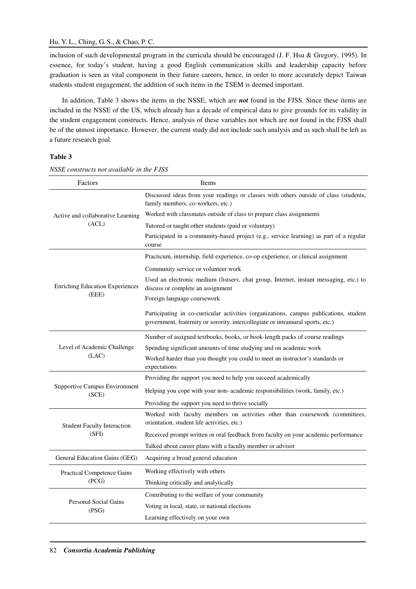inclusion of such developmental program in the curricula should be encouraged (J. F. Hsu & Gregory, 1995). In essence, for today's student, having a good English communication skills and leadership capacity before graduation is seen as vital component in their future careers, hence, in order to more accurately depict Taiwan students student engagement, the addition of such items in the TSEM is deemed important.

In addition, Table 3 shows the items in the NSSE, which are *not* found in the FJSS. Since these items are included in the NSSE of the US, which already has a decade of empirical data to give grounds for its validity in the student engagement constructs. Hence, analysis of these variables not which are not found in the FJSS shall be of the utmost importance. However, the current study did not include such analysis and as such shall be left as a future research goal.

# **Table 3**

| Factors                                | Items                                                                                                                                                                     |
|----------------------------------------|---------------------------------------------------------------------------------------------------------------------------------------------------------------------------|
|                                        | Discussed ideas from your readings or classes with others outside of class (students,<br>family members, co-workers, etc.)                                                |
| Active and collaborative Learning      | Worked with classmates outside of class to prepare class assignments                                                                                                      |
| (ACL)                                  | Tutored or taught other students (paid or voluntary)                                                                                                                      |
|                                        | Participated in a community-based project (e.g., service learning) as part of a regular<br>course                                                                         |
|                                        | Practicum, internship, field experience, co-op experience, or clinical assignment                                                                                         |
|                                        | Community service or volunteer work                                                                                                                                       |
| <b>Enriching Education Experiences</b> | Used an electronic medium (listserv, chat group, Internet, instant messaging, etc.) to<br>discuss or complete an assignment                                               |
| (EEE)                                  | Foreign language coursework                                                                                                                                               |
|                                        | Participating in co-curricular activities (organizations, campus publications, student<br>government, fraternity or sorority, intercollegiate or intramural sports, etc.) |
|                                        | Number of assigned textbooks, books, or book-length packs of course readings                                                                                              |
| Level of Academic Challenge            | Spending significant amounts of time studying and on academic work                                                                                                        |
| (LAC)                                  | Worked harder than you thought you could to meet an instructor's standards or<br>expectations                                                                             |
|                                        | Providing the support you need to help you succeed academically                                                                                                           |
| Supportive Campus Environment<br>(SCE) | Helping you cope with your non- academic responsibilities (work, family, etc.)                                                                                            |
|                                        | Providing the support you need to thrive socially                                                                                                                         |
| <b>Student Faculty Interaction</b>     | Worked with faculty members on activities other than coursework (committees,<br>orientation, student life activities, etc.)                                               |
| (SFI)                                  | Received prompt written or oral feedback from faculty on your academic performance                                                                                        |
|                                        | Talked about career plans with a faculty member or advisor                                                                                                                |
| General Education Gains (GEG)          | Acquiring a broad general education                                                                                                                                       |
| <b>Practical Competence Gains</b>      | Working effectively with others                                                                                                                                           |
| (PCG)                                  | Thinking critically and analytically                                                                                                                                      |
|                                        | Contributing to the welfare of your community                                                                                                                             |
| Personal Social Gains<br>(PSG)         | Voting in local, state, or national elections                                                                                                                             |
|                                        | Learning effectively on your own                                                                                                                                          |

*NSSE constructs not available in the FJSS*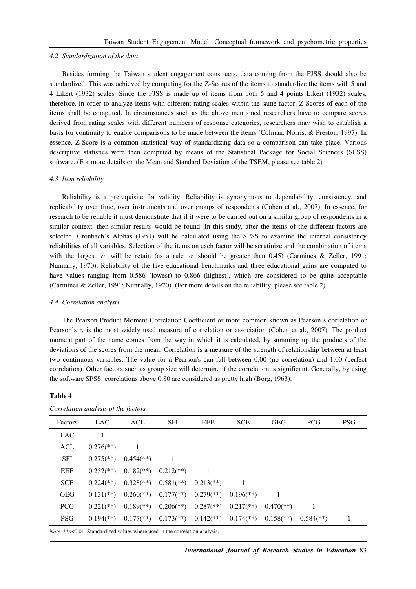#### *4.2 Standardization of the data*

Besides forming the Taiwan student engagement constructs, data coming from the FJSS should also be standardized. This was achieved by computing for the Z-Scores of the items to standardize the items with 5 and 4 Likert (1932) scales. Since the FJSS is made up of items from both 5 and 4 points Likert (1932) scales, therefore, in order to analyze items with different rating scales within the same factor, Z-Scores of each of the items shall be computed. In circumstances such as the above mentioned researchers have to compare scores derived from rating scales with different numbers of response categories, researchers may wish to establish a basis for continuity to enable comparisons to be made between the items (Colman, Norris, & Preston, 1997). In essence, Z-Score is a common statistical way of standardizing data so a comparison can take place. Various descriptive statistics were then computed by means of the Statistical Package for Social Sciences (SPSS) software. (For more details on the Mean and Standard Deviation of the TSEM, please see table 2)

### *4.3 Item reliability*

Reliability is a prerequisite for validity. Reliability is synonymous to dependability, consistency, and replicability over time, over instruments and over groups of respondents (Cohen et al., 2007). In essence, for research to be reliable it must demonstrate that if it were to be carried out on a similar group of respondents in a similar context, then similar results would be found. In this study, after the items of the different factors are selected, Cronbach's Alphas (1951) will be calculated using the SPSS to examine the internal consistency reliabilities of all variables. Selection of the items on each factor will be scrutinize and the combination of items with the largest  $\alpha$  will be retain (as a rule  $\alpha$  should be greater than 0.45) (Carmines & Zeller, 1991; Nunnally, 1970). Reliability of the five educational benchmarks and three educational gains are computed to have values ranging from 0.586 (lowest) to 0.866 (highest), which are considered to be quite acceptable (Carmines & Zeller, 1991; Nunnally, 1970). (For more details on the reliability, please see table 2)

### *4.4 Correlation analysis*

The Pearson Product Moment Correlation Coefficient or more common known as Pearson's correlation or Pearson's r, is the most widely used measure of correlation or association (Cohen et al., 2007). The product moment part of the name comes from the way in which it is calculated, by summing up the products of the deviations of the scores from the mean. Correlation is a measure of the strength of relationship between at least two continuous variables. The value for a Pearson's can fall between 0.00 (no correlation) and 1.00 (perfect correlation). Other factors such as group size will determine if the correlation is significant. Generally, by using the software SPSS, correlations above 0.80 are considered as pretty high (Borg, 1963).

| Correlation analysis of the factors |                           |                           |                           |                           |                         |                           |                           |            |
|-------------------------------------|---------------------------|---------------------------|---------------------------|---------------------------|-------------------------|---------------------------|---------------------------|------------|
| Factors                             | <b>LAC</b>                | ACL                       | <b>SFI</b>                | <b>EEE</b>                | <b>SCE</b>              | <b>GEG</b>                | <b>PCG</b>                | <b>PSG</b> |
| <b>LAC</b>                          |                           |                           |                           |                           |                         |                           |                           |            |
| <b>ACL</b>                          | $0.276$ <sup>**</sup> )   | -1                        |                           |                           |                         |                           |                           |            |
| <b>SFI</b>                          | $0.275$ <sup>**</sup> )   | $0.454$ <sup>(**)</sup> ) |                           |                           |                         |                           |                           |            |
| <b>EEE</b>                          | $0.252$ <sup>**</sup> )   | $0.182$ <sup>**</sup> )   | $0.212$ <sup>**</sup> )   |                           |                         |                           |                           |            |
| <b>SCE</b>                          | $0.224$ <sup>(**)</sup> ) | $0.328$ <sup>**</sup> )   | $0.581$ <sup>(**)</sup> ) | $0.213$ <sup>**</sup> )   | 1                       |                           |                           |            |
| <b>GEG</b>                          | $0.131$ <sup>(**)</sup> ) | $0.260$ <sup>**</sup> )   | $0.177$ (**)              | $0.279$ <sup>**</sup> )   | $0.196$ <sup>**</sup> ) |                           |                           |            |
| <b>PCG</b>                          | $0.221$ (**)              | $0.189$ <sup>**</sup> )   | $0.206$ <sup>**</sup> )   | $0.287$ <sup>(**)</sup> ) | $0.217$ <sup>**</sup> ) | $0.470$ <sup>**</sup> )   | 1                         |            |
| <b>PSG</b>                          | $0.194$ <sup>(**)</sup> ) | $0.177$ (**)              | $0.173$ <sup>**</sup> )   | $0.142$ <sup>**</sup> )   | $0.174$ <sup>**</sup> ) | $0.158$ <sup>(**)</sup> ) | $0.584$ <sup>(**)</sup> ) |            |

### **Table 4**

*Note*. \*\**p*<0.01. Standardized values where used in the correlation analysis.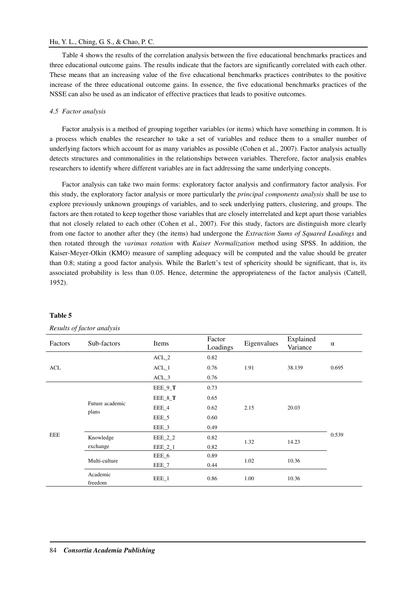# Hu, Y. L., Ching, G. S., & Chao, P. C.

Table 4 shows the results of the correlation analysis between the five educational benchmarks practices and three educational outcome gains. The results indicate that the factors are significantly correlated with each other. These means that an increasing value of the five educational benchmarks practices contributes to the positive increase of the three educational outcome gains. In essence, the five educational benchmarks practices of the NSSE can also be used as an indicator of effective practices that leads to positive outcomes.

# *4.5 Factor analysis*

Factor analysis is a method of grouping together variables (or items) which have something in common. It is a process which enables the researcher to take a set of variables and reduce them to a smaller number of underlying factors which account for as many variables as possible (Cohen et al., 2007). Factor analysis actually detects structures and commonalities in the relationships between variables. Therefore, factor analysis enables researchers to identify where different variables are in fact addressing the same underlying concepts.

Factor analysis can take two main forms: exploratory factor analysis and confirmatory factor analysis. For this study, the exploratory factor analysis or more particularly the *principal components analysis* shall be use to explore previously unknown groupings of variables, and to seek underlying patters, clustering, and groups. The factors are then rotated to keep together those variables that are closely interrelated and kept apart those variables that not closely related to each other (Cohen et al., 2007). For this study, factors are distinguish more clearly from one factor to another after they (the items) had undergone the *Extraction Sums of Squared Loadings* and then rotated through the *varimax rotation* with *Kaiser Normalization* method using SPSS. In addition, the Kaiser-Meyer-Olkin (KMO) measure of sampling adequacy will be computed and the value should be greater than 0.8; stating a good factor analysis. While the Barlett's test of sphericity should be significant, that is, its associated probability is less than 0.05. Hence, determine the appropriateness of the factor analysis (Cattell, 1952).

|         | --- <i>-----</i> - <i>, ,-</i> ---- ------- <i>,</i> --- |           |                    |             |                       |          |
|---------|----------------------------------------------------------|-----------|--------------------|-------------|-----------------------|----------|
| Factors | Sub-factors                                              | Items     | Factor<br>Loadings | Eigenvalues | Explained<br>Variance | $\alpha$ |
|         |                                                          | $ACL_2$   | 0.82               |             |                       |          |
| ACL     |                                                          | $ACL_1$   | 0.76               | 1.91        | 38.139                | 0.695    |
|         |                                                          | $ACL_3$   | 0.76               |             |                       |          |
|         |                                                          | EEE_9_T   | 0.73               |             |                       |          |
|         | Future academic<br>plans                                 | EEE_8_T   | 0.65               |             | 20.03                 | 0.539    |
|         |                                                          | EEE_4     | 0.62               | 2.15        |                       |          |
|         |                                                          | EEE_5     | 0.60               |             |                       |          |
|         |                                                          | EEE_3     | 0.49               |             |                       |          |
| EEE     | Knowledge                                                | $EEE_2_2$ | 0.82               | 1.32        | 14.23                 |          |
|         | exchange                                                 | $EEE_2_1$ | 0.82               |             |                       |          |
|         | Multi-culture                                            | EEE_6     | 0.89               |             |                       |          |
|         |                                                          | EEE_7     | 0.44               | 1.02        | 10.36                 |          |
|         | Academic<br>freedom                                      | EEE_1     | 0.86               | 1.00        | 10.36                 |          |

### **Table 5**

# *Results of factor analysis*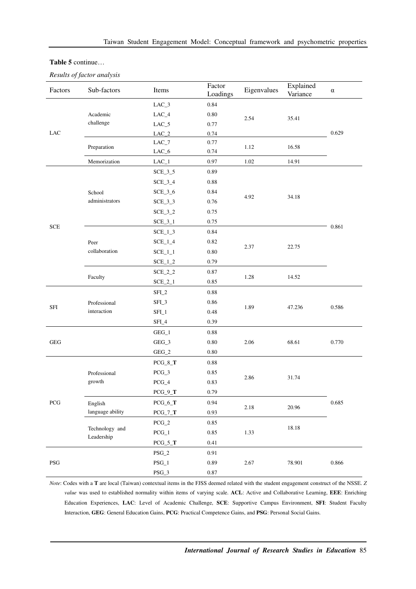### **Table 5** continue…

*Results of factor analysis* 

| Factors                   | Sub-factors                 | Items             | Factor<br>Loadings | Eigenvalues | Explained<br>Variance | $\alpha$ |
|---------------------------|-----------------------------|-------------------|--------------------|-------------|-----------------------|----------|
|                           |                             | $LAC_3$           | 0.84               |             |                       |          |
| LAC                       | Academic                    | $LAC_4$           | $0.80\,$           |             |                       |          |
|                           | challenge                   | $LAC_5$           | 0.77               | 2.54        | 35.41                 |          |
|                           |                             | $\rm LAC\_2$      | 0.74               |             |                       | 0.629    |
|                           | Preparation                 | $\rm LAC\_7$      | 0.77               | 1.12        | 16.58                 |          |
|                           |                             | $LAC_6$           | 0.74               |             |                       |          |
|                           | Memorization                | $LAC_1$           | 0.97               | 1.02        | 14.91                 |          |
|                           |                             | $SCE_3_5$         | 0.89               |             |                       |          |
|                           |                             | $SCE_3_4$         | 0.88               |             |                       |          |
|                           | School                      | $SCE_3_6$         | 0.84               |             |                       |          |
|                           | administrators              | $SCE_3_3$         | 0.76               | 4.92        | 34.18                 |          |
|                           |                             | $SCE_3_2$         | 0.75               |             |                       |          |
|                           |                             | $SCE_3_1$         | 0.75               |             |                       |          |
| $\ensuremath{\text{SCE}}$ |                             | $SCE_1_3$         | 0.84               |             |                       | 0.861    |
|                           | Peer                        | $SCE_1_4$         | 0.82               |             | 22.75                 |          |
|                           | collaboration               | $SCE_1_1$         | $0.80\,$           | 2.37        |                       |          |
|                           |                             | $SCE_1_2$         | 0.79               |             |                       |          |
|                           | Faculty                     | $SCE_2_2$         | 0.87               |             |                       |          |
|                           |                             | $SCE_2_1$         | 0.85               | 1.28        | 14.52                 |          |
|                           | Professional<br>interaction | SFI_2             | 0.88               |             | 47.236                |          |
|                           |                             | SFI_3             | 0.86               |             |                       |          |
| SFI                       |                             | SFL1              | $0.48\,$           | 1.89        |                       | 0.586    |
|                           |                             | SFI_4             | 0.39               |             |                       |          |
|                           |                             | $GEG_1$           | 0.88               |             | 68.61                 |          |
| <b>GEG</b>                |                             | $GEG_3$           | $0.80\,$           | 2.06        |                       | 0.770    |
|                           |                             | $GEG_2$           | $0.80\,$           |             |                       |          |
|                           |                             | $PCG_8_T$         | 0.88               |             |                       |          |
|                           | Professional                | $PCG_3$           | 0.85               |             |                       |          |
|                           | growth                      | $PCG_4$           | 0.83               | 2.86        | 31.74                 |          |
|                           |                             | $PCG_9_T$         | 0.79               |             |                       |          |
| PCG                       | English                     | $PCG_6_T$         | 0.94               |             |                       | 0.685    |
|                           | language ability            | $PCG_7_T$         | 0.93               | 2.18        | 20.96                 |          |
|                           |                             | $PCG_2$           | $0.85\,$           |             |                       |          |
|                           | Technology and              | $PCG\_1$          | $0.85\,$           | 1.33        | 18.18                 |          |
|                           | Leadership                  | $PCG_5_T$         | 0.41               |             |                       |          |
|                           |                             | $PSG_2$           | 0.91               |             |                       |          |
| $\operatorname{PSG}$      |                             | $\mathrm{PSG}\_1$ | 0.89               | 2.67        | 78.901                | 0.866    |
|                           |                             | $\rm PSG\_3$      | $0.87\,$           |             |                       |          |

*Note*: Codes with a **T** are local (Taiwan) contextual items in the FJSS deemed related with the student engagement construct of the NSSE. *Z value* was used to established normality within items of varying scale. **ACL**: Active and Collaborative Learning, **EEE**: Enriching Education Experiences, **LAC**: Level of Academic Challenge, **SCE**: Supportive Campus Environment, **SFI**: Student Faculty Interaction, **GEG**: General Education Gains, **PCG**: Practical Competence Gains, and **PSG**: Personal Social Gains.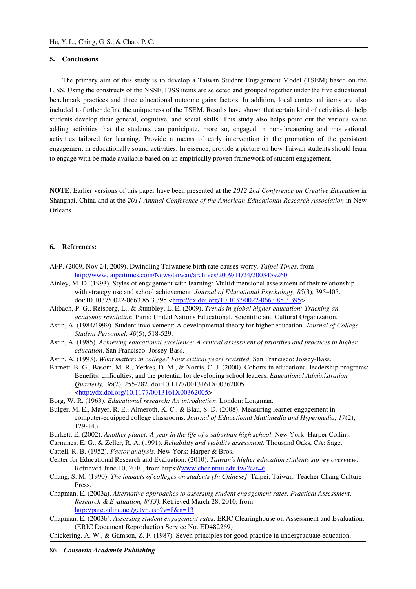# **5. Conclusions**

The primary aim of this study is to develop a Taiwan Student Engagement Model (TSEM) based on the FJSS. Using the constructs of the NSSE, FJSS items are selected and grouped together under the five educational benchmark practices and three educational outcome gains factors. In addition, local contextual items are also included to further define the uniqueness of the TSEM. Results have shown that certain kind of activities do help students develop their general, cognitive, and social skills. This study also helps point out the various value adding activities that the students can participate, more so, engaged in non-threatening and motivational activities tailored for learning. Provide a means of early intervention in the promotion of the persistent engagement in educationally sound activities. In essence, provide a picture on how Taiwan students should learn to engage with be made available based on an empirically proven framework of student engagement.

**NOTE**: Earlier versions of this paper have been presented at the *2012 2nd Conference on Creative Education* in Shanghai, China and at the *2011 Annual Conference of the American Educational Research Association* in New Orleans.

#### **6. References:**

- AFP. (2009, Nov 24, 2009). Dwindling Taiwanese birth rate causes worry*. Taipei Times*, from http://www.taipeitimes.com/News/taiwan/archives/2009/11/24/2003459260
- Ainley, M. D. (1993). Styles of engagement with learning: Multidimensional assessment of their relationship with strategy use and school achievement. *Journal of Educational Psychology, 85*(3), 395-405. doi:10.1037/0022-0663.85.3.395 <http://dx.doi.org/10.1037/0022-0663.85.3.395>
- Altbach, P. G., Reisberg, L., & Rumbley, L. E. (2009). *Trends in global higher education: Tracking an academic revolution*. Paris: United Nations Educational, Scientific and Cultural Organization.
- Astin, A. (1984/1999). Student involvement: A developmental theory for higher education. *Journal of College Student Personnel, 40*(5), 518-529.
- Astin, A. (1985). *Achieving educational excellence: A critical assessment of priorities and practices in higher education*. San Francisco: Jossey-Bass.
- Astin, A. (1993). *What matters in college? Four critical years revisited*. San Francisco: Jossey-Bass.
- Barnett, B. G., Basom, M. R., Yerkes, D. M., & Norris, C. J. (2000). Cohorts in educational leadership programs: Benefits, difficulties, and the potential for developing school leaders. *Educational Administration Quarterly, 36*(2), 255-282. doi:10.1177/0013161X00362005 <http://dx.doi.org/10.1177/0013161X00362005>
- Borg, W. R. (1963). *Educational research: An introduction*. London: Longman.
- Bulger, M. E., Mayer, R. E., Almeroth, K. C., & Blau, S. D. (2008). Measuring learner engagement in computer-equipped college classrooms. *Journal of Educational Multimedia and Hypermedia, 17*(2), 129-143.
- Burkett, E. (2002). *Another planet: A year in the life of a suburban high school*. New York: Harper Collins.
- Carmines, E. G., & Zeller, R. A. (1991). *Reliability and viability assessment*. Thousand Oaks, CA: Sage.
- Cattell, R. B. (1952). *Factor analysis*. New York: Harper & Bros.
- Center for Educational Research and Evaluation. (2010). *Taiwan's higher education students survey overview*. Retrieved June 10, 2010, from https://www.cher.ntnu.edu.tw/?cat=6
- Chang, S. M. (1990). *The impacts of colleges on students [In Chinese]*. Taipei, Taiwan: Teacher Chang Culture Press.
- Chapman, E. (2003a). *Alternative approaches to assessing student engagement rates. Practical Assessment, Research & Evaluation, 8(13)*. Retrieved March 28, 2010, from http://pareonline.net/getvn.asp?v=8&n=13
- Chapman, E. (2003b). *Assessing student engagement rates*. ERIC Clearinghouse on Assessment and Evaluation. (ERIC Document Reproduction Service No. ED482269)
- Chickering, A. W., & Gamson, Z. F. (1987). Seven principles for good practice in undergraduate education.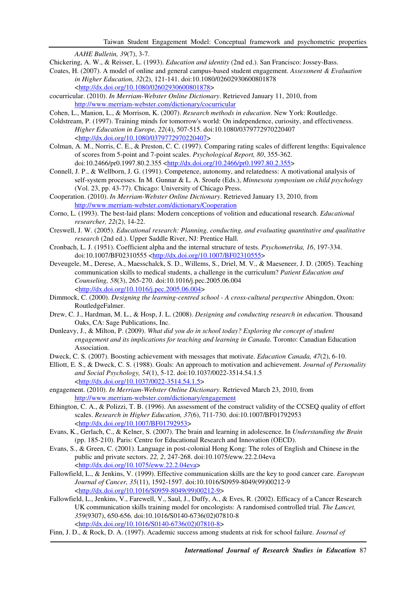*AAHE Bulletin, 39*(7), 3-7.

- Chickering, A. W., & Reisser, L. (1993). *Education and identity* (2nd ed.). San Francisco: Jossey-Bass.
- Coates, H. (2007). A model of online and general campus-based student engagement. *Assessment & Evaluation in Higher Education, 32*(2), 121-141. doi:10.1080/02602930600801878 <http://dx.doi.org/10.1080/02602930600801878>
- cocurricular. (2010). *In Merriam-Webster Online Dictionary*. Retrieved January 11, 2010, from http://www.merriam-webster.com/dictionary/cocurricular
- Cohen, L., Manion, L., & Morrison, K. (2007). *Research methods in education*. New York: Routledge.
- Coldstream, P. (1997). Training minds for tomorrow's world: On independence, curiosity, and effectiveness. *Higher Education in Europe, 22*(4), 507-515. doi:10.1080/0379772970220407 <http://dx.doi.org/10.1080/0379772970220407>
- Colman, A. M., Norris, C. E., & Preston, C. C. (1997). Comparing rating scales of different lengths: Equivalence of scores from 5-point and 7-point scales. *Psychological Report, 80*, 355-362. doi:10.2466/pr0.1997.80.2.355 <http://dx.doi.org/10.2466/pr0.1997.80.2.355>
- Connell, J. P., & Wellborn, J. G. (1991). Competence, autonomy, and relatedness: A motivational analysis of self-system processes. In M. Gunnar & L. A. Sroufe (Eds.), *Minnesota symposium on child psychology* (Vol. 23, pp. 43-77). Chicago: University of Chicago Press.
- Cooperation. (2010). *In Merriam-Webster Online Dictionary*. Retrieved January 13, 2010, from http://www.merriam-webster.com/dictionary/Cooperation
- Corno, L. (1993). The best-laid plans: Modern conceptions of volition and educational research. *Educational researcher, 22*(2), 14-22.
- Creswell, J. W. (2005). *Educational research: Planning, conducting, and evaluating quantitative and qualitative research* (2nd ed.). Upper Saddle River, NJ: Prentice Hall.
- Cronbach, L. J. (1951). Coefficient alpha and the internal structure of tests. *Psychometrika, 16*, 197-334. doi:10.1007/BF02310555 <http://dx.doi.org/10.1007/BF02310555>
- Deveugele, M., Derese, A., Maesschalck, S. D., Willems, S., Driel, M. V., & Maeseneer, J. D. (2005). Teaching communication skills to medical students, a challenge in the curriculum? *Patient Education and Counseling, 58*(3), 265-270. doi:10.1016/j.pec.2005.06.004 <http://dx.doi.org/10.1016/j.pec.2005.06.004>
- Dimmock, C. (2000). *Designing the learning-centred school A cross-cultural perspective* Abingdon, Oxon: RoutledgeFalmer.
- Drew, C. J., Hardman, M. L., & Hosp, J. L. (2008). *Designing and conducting research in education*. Thousand Oaks, CA: Sage Publications, Inc.
- Dunleavy, J., & Milton, P. (2009). *What did you do in school today? Exploring the concept of student engagement and its implications for teaching and learning in Canada*. Toronto: Canadian Education Association.
- Dweck, C. S. (2007). Boosting achievement with messages that motivate. *Education Canada, 47*(2), 6-10.
- Elliott, E. S., & Dweck, C. S. (1988). Goals: An approach to motivation and achievement. *Journal of Personality and Social Psychology, 54*(1), 5-12. doi:10.1037/0022-3514.54.1.5 <http://dx.doi.org/10.1037/0022-3514.54.1.5>
- engagement. (2010). *In Merriam-Webster Online Dictionary*. Retrieved March 23, 2010, from http://www.merriam-webster.com/dictionary/engagement
- Ethington, C. A., & Polizzi, T. B. (1996). An assessment of the construct validity of the CCSEQ quality of effort scales. *Research in Higher Education, 37*(6), 711-730. doi:10.1007/BF01792953 <http://dx.doi.org/10.1007/BF01792953>
- Evans, K., Gerlach, C., & Kelner, S. (2007). The brain and learning in adolescence. In *Understanding the Brain* (pp. 185-210). Paris: Centre for Educational Research and Innovation (OECD).
- Evans, S., & Green, C. (2001). Language in post-colonial Hong Kong: The roles of English and Chinese in the public and private sectors. *22, 2*, 247-268. doi:10.1075/eww.22.2.04eva <http://dx.doi.org/10.1075/eww.22.2.04eva>
- Fallowfield, L., & Jenkins, V. (1999). Effective communication skills are the key to good cancer care. *European Journal of Cancer, 35*(11), 1592-1597. doi:10.1016/S0959-8049(99)00212-9 <http://dx.doi.org/10.1016/S0959-8049(99)00212-9>
- Fallowfield, L., Jenkins, V., Farewell, V., Saul, J., Duffy, A., & Eves, R. (2002). Efficacy of a Cancer Research UK communication skills training model for oncologists: A randomised controlled trial. *The Lancet, 359*(9307), 650-656. doi:10.1016/S0140-6736(02)07810-8 <http://dx.doi.org/10.1016/S0140-6736(02)07810-8>
- Finn, J. D., & Rock, D. A. (1997). Academic success among students at risk for school failure. *Journal of*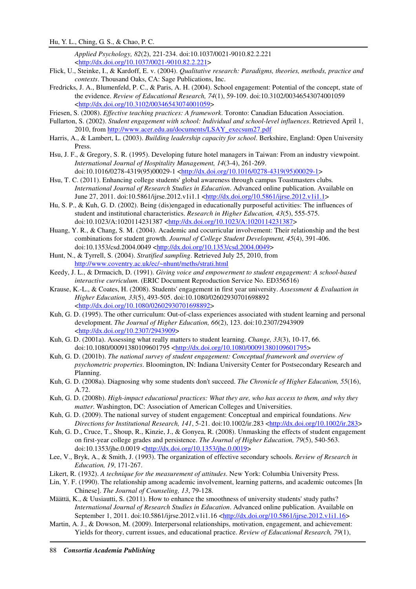*Applied Psychology, 82*(2), 221-234. doi:10.1037/0021-9010.82.2.221 <http://dx.doi.org/10.1037/0021-9010.82.2.221>

- Flick, U., Steinke, I., & Kardoff, E. v. (2004). *Qualitative research: Paradigms, theories, methods, practice and contexts*. Thousand Oaks, CA: Sage Publications, Inc.
- Fredricks, J. A., Blumenfeld, P. C., & Paris, A. H. (2004). School engagement: Potential of the concept, state of the evidence. *Review of Educational Research, 74*(1), 59-109. doi:10.3102/00346543074001059 <http://dx.doi.org/10.3102/00346543074001059>
- Friesen, S. (2008). *Effective teaching practices: A framework*. Toronto: Canadian Education Association.
- Fullarton, S. (2002). *Student engagement with school: Individual and school-level influences*. Retrieved April 1, 2010, from http://www.acer.edu.au/documents/LSAY\_execsum27.pdf
- Harris, A., & Lambert, L. (2003). *Building leadership capacity for school*. Berkshire, England: Open University Press.
- Hsu, J. F., & Gregory, S. R. (1995). Developing future hotel managers in Taiwan: From an industry viewpoint. *International Journal of Hospitality Management, 14*(3-4), 261-269. doi:10.1016/0278-4319(95)00029-1 <http://dx.doi.org/10.1016/0278-4319(95)00029-1>
- Hsu, T. C. (2011). Enhancing college students' global awareness through campus Toastmasters clubs*. International Journal of Research Studies in Education*. Advanced online publication. Available on June 27, 2011. doi:10.5861/ijrse.2012.v1i1.1 <http://dx.doi.org/10.5861/ijrse.2012.v1i1.1>
- Hu, S. P., & Kuh, G. D. (2002). Being (dis)engaged in educationally purposeful activities: The influences of student and institutional characteristics. *Research in Higher Education, 43*(5), 555-575. doi:10.1023/A:1020114231387 <http://dx.doi.org/10.1023/A:1020114231387>
- Huang, Y. R., & Chang, S. M. (2004). Academic and cocurricular involvement: Their relationship and the best combinations for student growth. *Journal of College Student Development, 45*(4), 391-406. doi:10.1353/csd.2004.0049 <http://dx.doi.org/10.1353/csd.2004.0049>
- Hunt, N., & Tyrrell, S. (2004). *Stratified sampling*. Retrieved July 25, 2010, from http://www.coventry.ac.uk/ec/~nhunt/meths/strati.html
- Keedy, J. L., & Drmacich, D. (1991). *Giving voice and empowerment to student engagement: A school-based interactive curriculum*. (ERIC Document Reproduction Service No. ED356516)
- Krause, K.-L., & Coates, H. (2008). Students' engagement in first year university. *Assessment & Evaluation in Higher Education, 33*(5), 493-505. doi:10.1080/02602930701698892 <http://dx.doi.org/10.1080/02602930701698892>
- Kuh, G. D. (1995). The other curriculum: Out-of-class experiences associated with student learning and personal development. *The Journal of Higher Education, 66*(2), 123. doi:10.2307/2943909 <http://dx.doi.org/10.2307/2943909>
- Kuh, G. D. (2001a). Assessing what really matters to student learning. *Change, 33*(3), 10-17, 66. doi:10.1080/00091380109601795 <http://dx.doi.org/10.1080/00091380109601795>
- Kuh, G. D. (2001b). *The national survey of student engagement: Conceptual framework and overview of psychometric properties*. Bloomington, IN: Indiana University Center for Postsecondary Research and Planning.
- Kuh, G. D. (2008a). Diagnosing why some students don't succeed. *The Chronicle of Higher Education, 55*(16), A.72.
- Kuh, G. D. (2008b). *High-impact educational practices: What they are, who has access to them, and why they matter*. Washington, DC: Association of American Colleges and Universities.
- Kuh, G. D. (2009). The national survey of student engagement: Conceptual and empirical foundations. *New Directions for Institutional Research, 141*, 5-21. doi:10.1002/ir.283 <http://dx.doi.org/10.1002/ir.283>
- Kuh, G. D., Cruce, T., Shoup, R., Kinzie, J., & Gonyea, R. (2008). Unmasking the effects of student engagement on first-year college grades and persistence. *The Journal of Higher Education, 79*(5), 540-563. doi:10.1353/jhe.0.0019 <http://dx.doi.org/10.1353/jhe.0.0019>
- Lee, V., Bryk, A., & Smith, J. (1993). The organization of effective secondary schools. *Review of Research in Education, 19*, 171-267.
- Likert, R. (1932). *A technique for the measurement of attitudes*. New York: Columbia University Press.
- Lin, Y. F. (1990). The relationship among academic involvement, learning patterns, and academic outcomes [In Chinese]. *The Journal of Counseling, 13*, 79-128.
- Määttä, K., & Uusiautti, S. (2011). How to enhance the smoothness of university students' study paths? *International Journal of Research Studies in Education*. Advanced online publication. Available on September 1, 2011. doi:10.5861/ijrse.2012.v1i1.16 <http://dx.doi.org/10.5861/ijrse.2012.v1i1.16>
- Martin, A. J., & Dowson, M. (2009). Interpersonal relationships, motivation, engagement, and achievement: Yields for theory, current issues, and educational practice. *Review of Educational Research, 79*(1),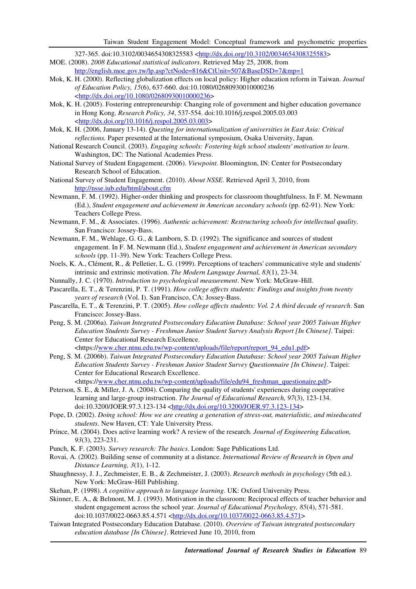327-365. doi:10.3102/0034654308325583 <http://dx.doi.org/10.3102/0034654308325583>

- MOE. (2008). *2008 Educational statistical indicators*. Retrieved May 25, 2008, from http://english.moe.gov.tw/lp.asp?ctNode=816&CtUnit=507&BaseDSD=7&mp=1
- Mok, K. H. (2000). Reflecting globalization effects on local policy: Higher education reform in Taiwan. *Journal of Education Policy, 15*(6), 637-660. doi:10.1080/02680930010000236 <http://dx.doi.org/10.1080/02680930010000236>
- Mok, K. H. (2005). Fostering entrepreneurship: Changing role of government and higher education governance in Hong Kong. *Research Policy, 34*, 537-554. doi:10.1016/j.respol.2005.03.003 <http://dx.doi.org/10.1016/j.respol.2005.03.003>
- Mok, K. H. (2006, January 13-14). *Questing for internationalization of universities in East Asia: Critical reflections.* Paper presented at the International symposium, Osaka University, Japan.
- National Research Council. (2003). *Engaging schools: Fostering high school students' motivation to learn*. Washington, DC: The National Academies Press.
- National Survey of Student Engagement. (2006). *Viewpoint*. Bloomington, IN: Center for Postsecondary Research School of Education.
- National Survey of Student Engagement. (2010). *About NSSE*. Retrieved April 3, 2010, from http://nsse.iub.edu/html/about.cfm
- Newmann, F. M. (1992). Higher-order thinking and prospects for classroom thoughtfulness. In F. M. Newmann (Ed.), *Student engagement and achievement in American secondary schools* (pp. 62-91). New York: Teachers College Press.
- Newmann, F. M., & Associates. (1996). *Authentic achievement: Restructuring schools for intellectual quality*. San Francisco: Jossey-Bass.
- Newmann, F. M., Wehlage, G. G., & Lamborn, S. D. (1992). The significance and sources of student engagement. In F. M. Newmann (Ed.), *Student engagement and achievement in American secondary schools* (pp. 11-39). New York: Teachers College Press.
- Noels, K. A., Clément, R., & Pelletier, L. G. (1999). Perceptions of teachers' communicative style and students' intrinsic and extrinsic motivation. *The Modern Language Journal, 83*(1), 23-34.
- Nunnally, J. C. (1970). *Introduction to psychological measurement*. New York: McGraw-Hill.
- Pascarella, E. T., & Terenzini, P. T. (1991). *How college affects students: Findings and insights from twenty years of research* (Vol. I). San Francisco, CA: Jossey-Bass.
- Pascarella, E. T., & Terenzini, P. T. (2005). *How college affects students: Vol. 2 A third decade of research*. San Francisco: Jossey-Bass.
- Peng, S. M. (2006a). *Taiwan Integrated Postsecondary Education Database: School year 2005 Taiwan Higher Education Students Survey - Freshman Junior Student Survey Analysis Report [In Chinese]*. Taipei: Center for Educational Research Excellence. <https://www.cher.ntnu.edu.tw/wp-content/uploads/file/report/report\_94\_edu1.pdf>
- Peng, S. M. (2006b). *Taiwan Integrated Postsecondary Education Database: School year 2005 Taiwan Higher Education Students Survey - Freshman Junior Student Survey Questionnaire [In Chinese]*. Taipei: Center for Educational Research Excellence.
	- <https://www.cher.ntnu.edu.tw/wp-content/uploads/file/edu94\_freshman\_questionaire.pdf>
- Peterson, S. E., & Miller, J. A. (2004). Comparing the quality of students' experiences during cooperative learning and large-group instruction. *The Journal of Educational Research, 97*(3), 123-134. doi:10.3200/JOER.97.3.123-134 <http://dx.doi.org/10.3200/JOER.97.3.123-134>
- Pope, D. (2002). *Doing school: How we are creating a generation of stress-out, materialistic, and miseducated students*. New Haven, CT: Yale University Press.
- Prince, M. (2004). Does active learning work? A review of the research. *Journal of Engineering Education, 93*(3), 223-231.
- Punch, K. F. (2003). *Survey research: The basics*. London: Sage Publications Ltd.
- Rovai, A. (2002). Building sense of community at a distance. *International Review of Research in Open and Distance Learning, 3*(1), 1-12.
- Shaughnessy, J. J., Zechmeister, E. B., & Zechmeister, J. (2003). *Research methods in psychology* (5th ed.). New York: McGraw-Hill Publishing.
- Skehan, P. (1998). *A cognitive approach to language learning*. UK: Oxford University Press.
- Skinner, E. A., & Belmont, M. J. (1993). Motivation in the classroom: Reciprocal effects of teacher behavior and student engagement across the school year. *Journal of Educational Psychology, 85*(4), 571-581. doi:10.1037/0022-0663.85.4.571 <http://dx.doi.org/10.1037/0022-0663.85.4.571>
- Taiwan Integrated Postsecondary Education Database. (2010). *Overview of Taiwan integrated postsecondary education database [In Chinese]*. Retrieved June 10, 2010, from